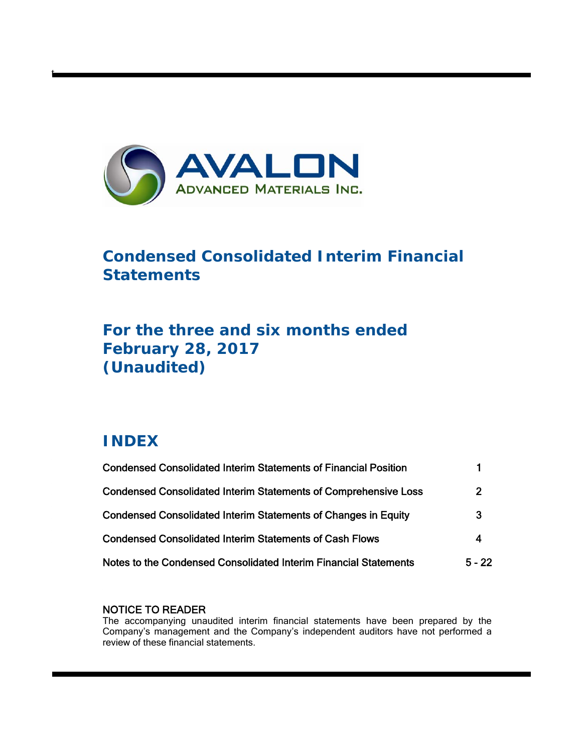

# **Condensed Consolidated Interim Financial Statements**

# **For the three and six months ended February 28, 2017 (Unaudited)**

# **INDEX**

t

| <b>Condensed Consolidated Interim Statements of Financial Position</b> |                |
|------------------------------------------------------------------------|----------------|
| <b>Condensed Consolidated Interim Statements of Comprehensive Loss</b> | $\overline{2}$ |
| <b>Condensed Consolidated Interim Statements of Changes in Equity</b>  | 3              |
| <b>Condensed Consolidated Interim Statements of Cash Flows</b>         | 4              |
| Notes to the Condensed Consolidated Interim Financial Statements       | $5 - 22$       |

## NOTICE TO READER

The accompanying unaudited interim financial statements have been prepared by the Company's management and the Company's independent auditors have not performed a review of these financial statements.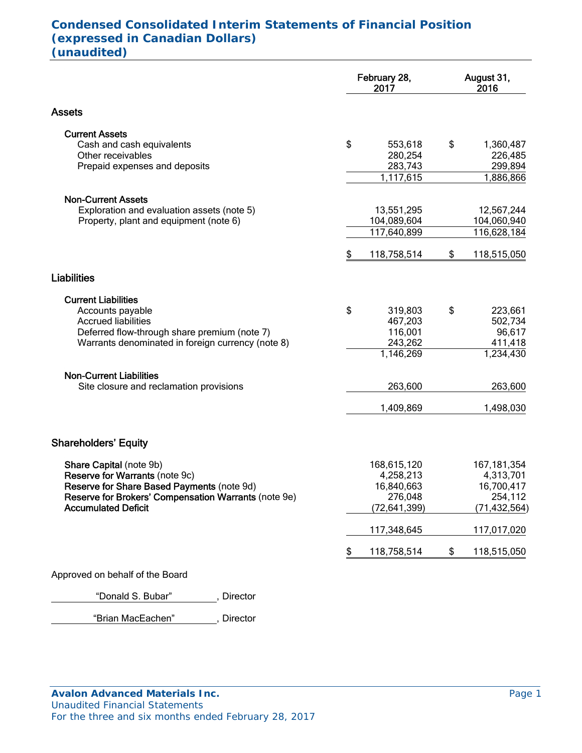## **Condensed Consolidated Interim Statements of Financial Position (expressed in Canadian Dollars) (unaudited)**

|                                                      | February 28,<br>2017 | August 31,<br>2016 |
|------------------------------------------------------|----------------------|--------------------|
| <b>Assets</b>                                        |                      |                    |
| <b>Current Assets</b>                                |                      |                    |
| Cash and cash equivalents                            | \$<br>553,618        | \$<br>1,360,487    |
| Other receivables                                    | 280,254              | 226,485            |
| Prepaid expenses and deposits                        | 283,743              | 299,894            |
|                                                      | 1,117,615            | 1,886,866          |
| <b>Non-Current Assets</b>                            |                      |                    |
| Exploration and evaluation assets (note 5)           | 13,551,295           | 12,567,244         |
| Property, plant and equipment (note 6)               | 104,089,604          | 104,060,940        |
|                                                      | 117,640,899          | 116,628,184        |
|                                                      | \$<br>118,758,514    | \$<br>118,515,050  |
| <b>Liabilities</b>                                   |                      |                    |
| <b>Current Liabilities</b>                           |                      |                    |
| Accounts payable                                     | \$<br>319,803        | \$<br>223,661      |
| <b>Accrued liabilities</b>                           | 467,203              | 502,734            |
| Deferred flow-through share premium (note 7)         | 116,001              | 96,617             |
| Warrants denominated in foreign currency (note 8)    | 243,262              | 411,418            |
|                                                      | 1,146,269            | 1,234,430          |
| <b>Non-Current Liabilities</b>                       |                      |                    |
| Site closure and reclamation provisions              | 263,600              | 263,600            |
|                                                      | 1,409,869            | 1,498,030          |
|                                                      |                      |                    |
| <b>Shareholders' Equity</b>                          |                      |                    |
| Share Capital (note 9b)                              | 168,615,120          | 167, 181, 354      |
| Reserve for Warrants (note 9c)                       | 4,258,213            | 4,313,701          |
| Reserve for Share Based Payments (note 9d)           | 16,840,663           | 16,700,417         |
| Reserve for Brokers' Compensation Warrants (note 9e) | 276,048              | 254,112            |
| <b>Accumulated Deficit</b>                           | (72, 641, 399)       | (71, 432, 564)     |
|                                                      | 117,348,645          | 117,017,020        |
|                                                      | \$<br>118,758,514    | \$<br>118,515,050  |
| Approved on behalf of the Board                      |                      |                    |

"Donald S. Bubar" , Director

"Brian MacEachen" , Director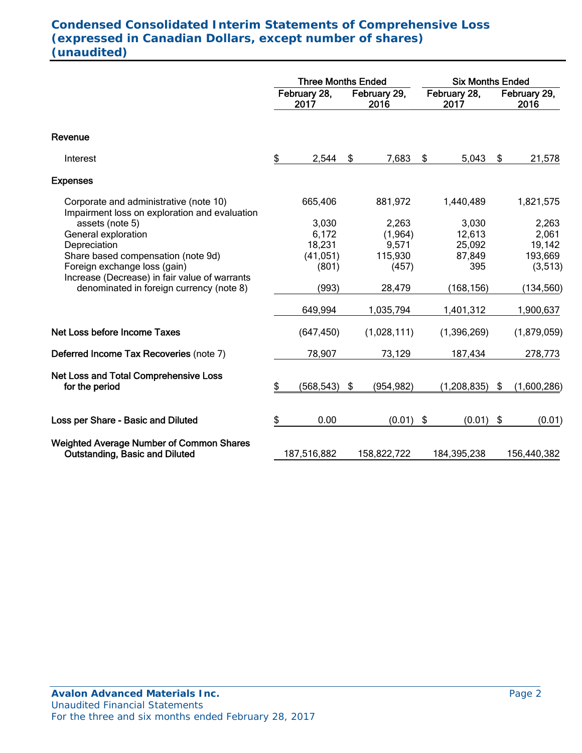## **Condensed Consolidated Interim Statements of Comprehensive Loss (expressed in Canadian Dollars, except number of shares) (unaudited)**

|                                                                                           |    | <b>Three Months Ended</b> |    |                      | <b>Six Months Ended</b> |                      |                      |             |  |
|-------------------------------------------------------------------------------------------|----|---------------------------|----|----------------------|-------------------------|----------------------|----------------------|-------------|--|
|                                                                                           |    | February 28,<br>2017      |    | February 29,<br>2016 |                         | February 28,<br>2017 | February 29,<br>2016 |             |  |
| Revenue                                                                                   |    |                           |    |                      |                         |                      |                      |             |  |
| Interest                                                                                  | \$ | 2,544                     | \$ | 7,683                | \$                      | 5,043                | \$                   | 21,578      |  |
| <b>Expenses</b>                                                                           |    |                           |    |                      |                         |                      |                      |             |  |
| Corporate and administrative (note 10)<br>Impairment loss on exploration and evaluation   |    | 665,406                   |    | 881,972              |                         | 1,440,489            |                      | 1,821,575   |  |
| assets (note 5)                                                                           |    | 3,030                     |    | 2,263                |                         | 3,030                |                      | 2,263       |  |
| General exploration                                                                       |    | 6,172                     |    | (1, 964)             |                         | 12,613               |                      | 2,061       |  |
| Depreciation                                                                              |    | 18,231                    |    | 9,571                |                         | 25,092               |                      | 19,142      |  |
| Share based compensation (note 9d)                                                        |    | (41, 051)                 |    | 115,930              |                         | 87,849               |                      | 193,669     |  |
| Foreign exchange loss (gain)                                                              |    | (801)                     |    | (457)                |                         | 395                  |                      | (3,513)     |  |
| Increase (Decrease) in fair value of warrants<br>denominated in foreign currency (note 8) |    | (993)                     |    | 28,479               |                         | (168, 156)           |                      | (134, 560)  |  |
|                                                                                           |    | 649,994                   |    | 1,035,794            |                         | 1,401,312            |                      | 1,900,637   |  |
| Net Loss before Income Taxes                                                              |    | (647, 450)                |    | (1,028,111)          |                         | (1,396,269)          |                      | (1,879,059) |  |
| Deferred Income Tax Recoveries (note 7)                                                   |    | 78,907                    |    | 73,129               |                         | 187,434              |                      | 278,773     |  |
| <b>Net Loss and Total Comprehensive Loss</b>                                              |    |                           |    |                      |                         |                      |                      |             |  |
| for the period                                                                            | \$ | (568, 543)                | \$ | (954, 982)           |                         | (1, 208, 835)        | \$                   | (1,600,286) |  |
| Loss per Share - Basic and Diluted                                                        | \$ | 0.00                      |    | $(0.01)$ \$          |                         | (0.01)               | \$                   | (0.01)      |  |
| <b>Weighted Average Number of Common Shares</b><br><b>Outstanding, Basic and Diluted</b>  |    | 187,516,882               |    | 158,822,722          |                         | 184,395,238          |                      | 156,440,382 |  |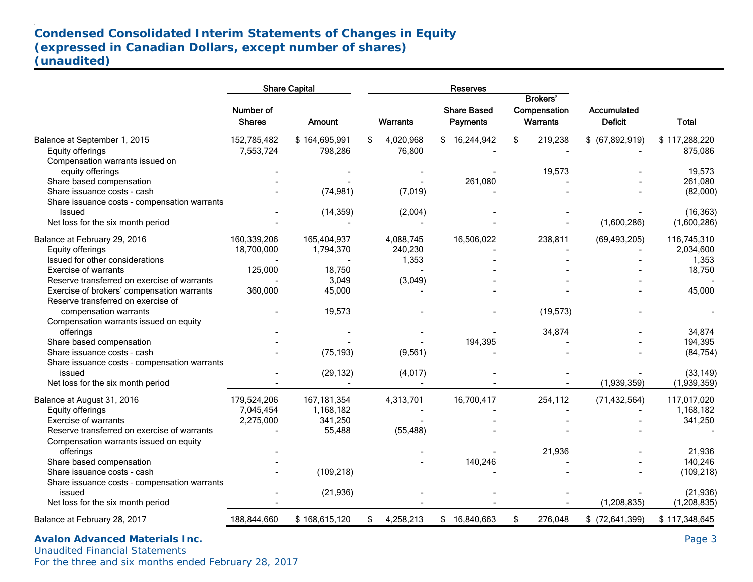# **Condensed Consolidated Interim Statements of Changes in Equity (expressed in Canadian Dollars, except number of shares) (unaudited)**

|                                                                                  |                            | <b>Share Capital</b>     |                           | <b>Reserves</b>                       |                                             |                               |                            |
|----------------------------------------------------------------------------------|----------------------------|--------------------------|---------------------------|---------------------------------------|---------------------------------------------|-------------------------------|----------------------------|
|                                                                                  | Number of<br><b>Shares</b> | <b>Amount</b>            | Warrants                  | <b>Share Based</b><br><b>Payments</b> | <b>Brokers'</b><br>Compensation<br>Warrants | Accumulated<br><b>Deficit</b> | <b>Total</b>               |
| Balance at September 1, 2015<br>Equity offerings                                 | 152,785,482<br>7,553,724   | \$164,695,991<br>798,286 | 4,020,968<br>\$<br>76,800 | \$16,244,942                          | 219,238<br>\$                               | \$ (67,892,919)               | \$117,288,220<br>875,086   |
| Compensation warrants issued on<br>equity offerings                              |                            |                          |                           |                                       | 19,573                                      |                               | 19,573                     |
| Share based compensation                                                         |                            |                          |                           | 261,080                               |                                             |                               | 261,080                    |
| Share issuance costs - cash<br>Share issuance costs - compensation warrants      |                            | (74, 981)                | (7,019)                   |                                       |                                             |                               | (82,000)                   |
| Issued<br>Net loss for the six month period                                      |                            | (14, 359)                | (2,004)                   |                                       |                                             | (1,600,286)                   | (16, 363)<br>(1,600,286)   |
| Balance at February 29, 2016                                                     | 160,339,206                | 165,404,937              | 4,088,745                 | 16,506,022                            | 238,811                                     | (69, 493, 205)                | 116,745,310                |
| Equity offerings                                                                 | 18,700,000                 | 1,794,370                | 240,230                   |                                       |                                             |                               | 2,034,600                  |
| Issued for other considerations                                                  |                            |                          | 1,353                     |                                       |                                             |                               | 1,353                      |
| <b>Exercise of warrants</b>                                                      | 125,000                    | 18,750                   |                           |                                       |                                             |                               | 18,750                     |
| Reserve transferred on exercise of warrants                                      |                            | 3,049                    | (3,049)                   |                                       |                                             |                               |                            |
| Exercise of brokers' compensation warrants<br>Reserve transferred on exercise of | 360,000                    | 45,000                   |                           |                                       |                                             |                               | 45,000                     |
| compensation warrants                                                            |                            | 19,573                   |                           |                                       | (19, 573)                                   |                               |                            |
| Compensation warrants issued on equity                                           |                            |                          |                           |                                       |                                             |                               |                            |
| offerings                                                                        |                            |                          |                           |                                       | 34,874                                      |                               | 34,874                     |
| Share based compensation                                                         |                            |                          |                           | 194,395                               |                                             |                               | 194,395                    |
| Share issuance costs - cash                                                      |                            | (75, 193)                | (9, 561)                  |                                       |                                             |                               | (84, 754)                  |
| Share issuance costs - compensation warrants                                     |                            |                          |                           |                                       |                                             |                               |                            |
| issued                                                                           |                            | (29, 132)                | (4,017)                   |                                       |                                             |                               | (33, 149)                  |
| Net loss for the six month period                                                |                            |                          |                           |                                       |                                             | (1,939,359)                   | (1,939,359)                |
| Balance at August 31, 2016                                                       | 179,524,206                | 167, 181, 354            | 4,313,701                 | 16,700,417                            | 254,112                                     | (71, 432, 564)                | 117,017,020                |
| Equity offerings                                                                 | 7,045,454                  | 1,168,182                |                           |                                       |                                             |                               | 1,168,182                  |
| <b>Exercise of warrants</b>                                                      | 2,275,000                  | 341,250                  |                           |                                       |                                             |                               | 341,250                    |
| Reserve transferred on exercise of warrants                                      |                            | 55,488                   | (55, 488)                 |                                       |                                             |                               |                            |
| Compensation warrants issued on equity                                           |                            |                          |                           |                                       |                                             |                               |                            |
| offerings                                                                        |                            |                          |                           |                                       | 21,936                                      |                               | 21,936                     |
| Share based compensation                                                         |                            |                          |                           | 140,246                               |                                             |                               | 140,246                    |
| Share issuance costs - cash                                                      |                            | (109, 218)               |                           |                                       |                                             |                               | (109, 218)                 |
| Share issuance costs - compensation warrants                                     |                            |                          |                           |                                       |                                             |                               |                            |
| issued<br>Net loss for the six month period                                      |                            | (21, 936)                |                           |                                       |                                             | (1,208,835)                   | (21, 936)<br>(1, 208, 835) |
| Balance at February 28, 2017                                                     | 188,844,660                | \$168,615,120            | 4,258,213<br>\$           | \$16,840,663                          | \$<br>276,048                               | $$$ (72,641,399)              | \$117,348,645              |
|                                                                                  |                            |                          |                           |                                       |                                             |                               |                            |

Avalon Advanced Materials Inc. **Page 3** Page 3 Unaudited Financial Statements For the three and six months ended February 28, 2017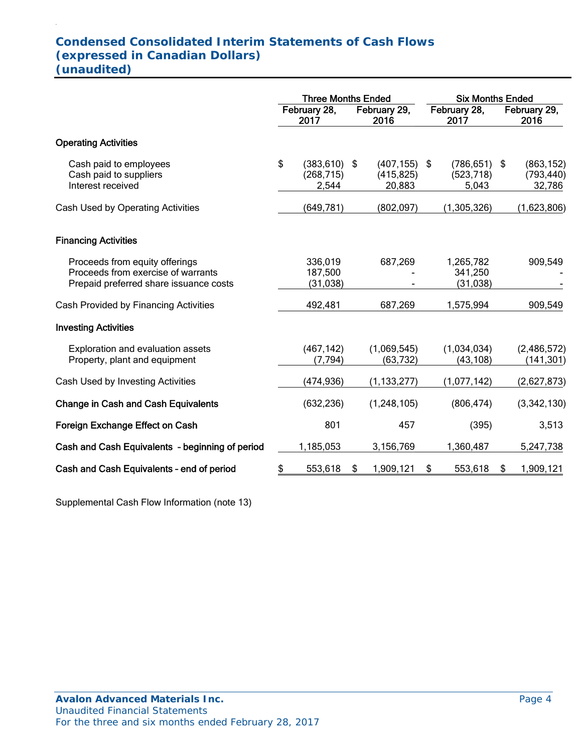## **Condensed Consolidated Interim Statements of Cash Flows (expressed in Canadian Dollars) (unaudited)**

|                                                                                                                | <b>Three Months Ended</b> |                                        |    |                                         | <b>Six Months Ended</b> |                                   |    |                                    |  |
|----------------------------------------------------------------------------------------------------------------|---------------------------|----------------------------------------|----|-----------------------------------------|-------------------------|-----------------------------------|----|------------------------------------|--|
|                                                                                                                | February 28,<br>2017      |                                        |    | February 29,<br>2016                    | February 28,<br>2017    |                                   |    | February 29,<br>2016               |  |
| <b>Operating Activities</b>                                                                                    |                           |                                        |    |                                         |                         |                                   |    |                                    |  |
| Cash paid to employees<br>Cash paid to suppliers<br>Interest received                                          | \$                        | $(383, 610)$ \$<br>(268, 715)<br>2,544 |    | $(407, 155)$ \$<br>(415, 825)<br>20,883 |                         | (786, 651)<br>(523, 718)<br>5,043 | \$ | (863, 152)<br>(793, 440)<br>32,786 |  |
| Cash Used by Operating Activities                                                                              |                           | (649, 781)                             |    | (802,097)                               |                         | (1,305,326)                       |    | (1,623,806)                        |  |
| <b>Financing Activities</b>                                                                                    |                           |                                        |    |                                         |                         |                                   |    |                                    |  |
| Proceeds from equity offerings<br>Proceeds from exercise of warrants<br>Prepaid preferred share issuance costs |                           | 336,019<br>187,500<br>(31,038)         |    | 687,269                                 |                         | 1,265,782<br>341,250<br>(31, 038) |    | 909,549                            |  |
| Cash Provided by Financing Activities                                                                          |                           | 492,481                                |    | 687,269                                 |                         | 1,575,994                         |    | 909,549                            |  |
| <b>Investing Activities</b>                                                                                    |                           |                                        |    |                                         |                         |                                   |    |                                    |  |
| Exploration and evaluation assets<br>Property, plant and equipment                                             |                           | (467, 142)<br>(7, 794)                 |    | (1,069,545)<br>(63, 732)                |                         | (1,034,034)<br>(43, 108)          |    | (2,486,572)<br>(141, 301)          |  |
| Cash Used by Investing Activities                                                                              |                           | (474, 936)                             |    | (1, 133, 277)                           |                         | (1,077,142)                       |    | (2,627,873)                        |  |
| <b>Change in Cash and Cash Equivalents</b>                                                                     |                           | (632, 236)                             |    | (1, 248, 105)                           |                         | (806, 474)                        |    | (3,342,130)                        |  |
| Foreign Exchange Effect on Cash                                                                                |                           | 801                                    |    | 457                                     |                         | (395)                             |    | 3,513                              |  |
| Cash and Cash Equivalents - beginning of period                                                                |                           | 1,185,053                              |    | 3,156,769                               |                         | 1,360,487                         |    | 5,247,738                          |  |
| Cash and Cash Equivalents - end of period                                                                      |                           | 553,618                                | \$ | 1,909,121                               | \$                      | 553,618                           | \$ | 1,909,121                          |  |

Supplemental Cash Flow Information (note 13)

.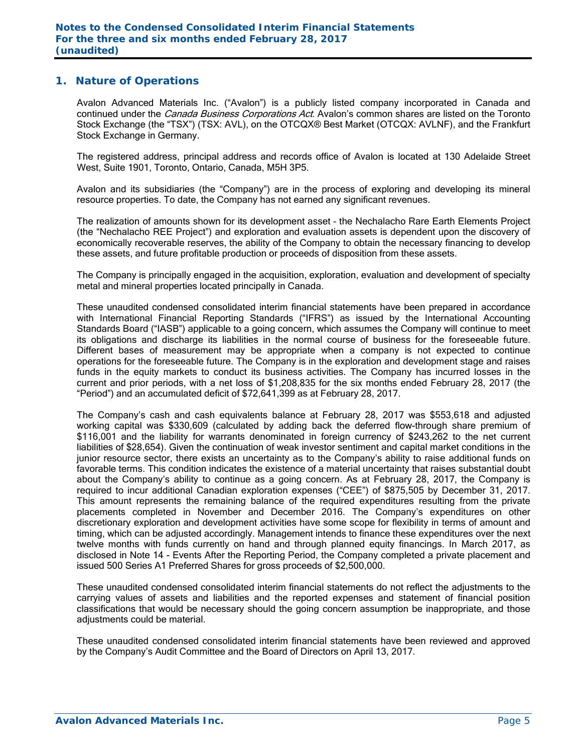#### **1. Nature of Operations**

Avalon Advanced Materials Inc. ("Avalon") is a publicly listed company incorporated in Canada and continued under the *Canada Business Corporations Act*. Avalon's common shares are listed on the Toronto Stock Exchange (the "TSX") (TSX: AVL), on the OTCQX® Best Market (OTCQX: AVLNF), and the Frankfurt Stock Exchange in Germany.

The registered address, principal address and records office of Avalon is located at 130 Adelaide Street West, Suite 1901, Toronto, Ontario, Canada, M5H 3P5.

Avalon and its subsidiaries (the "Company") are in the process of exploring and developing its mineral resource properties. To date, the Company has not earned any significant revenues.

The realization of amounts shown for its development asset – the Nechalacho Rare Earth Elements Project (the "Nechalacho REE Project") and exploration and evaluation assets is dependent upon the discovery of economically recoverable reserves, the ability of the Company to obtain the necessary financing to develop these assets, and future profitable production or proceeds of disposition from these assets.

The Company is principally engaged in the acquisition, exploration, evaluation and development of specialty metal and mineral properties located principally in Canada.

These unaudited condensed consolidated interim financial statements have been prepared in accordance with International Financial Reporting Standards ("IFRS") as issued by the International Accounting Standards Board ("IASB") applicable to a going concern, which assumes the Company will continue to meet its obligations and discharge its liabilities in the normal course of business for the foreseeable future. Different bases of measurement may be appropriate when a company is not expected to continue operations for the foreseeable future. The Company is in the exploration and development stage and raises funds in the equity markets to conduct its business activities. The Company has incurred losses in the current and prior periods, with a net loss of \$1,208,835 for the six months ended February 28, 2017 (the "Period") and an accumulated deficit of \$72,641,399 as at February 28, 2017.

The Company's cash and cash equivalents balance at February 28, 2017 was \$553,618 and adjusted working capital was \$330,609 (calculated by adding back the deferred flow-through share premium of \$116,001 and the liability for warrants denominated in foreign currency of \$243,262 to the net current liabilities of \$28,654). Given the continuation of weak investor sentiment and capital market conditions in the junior resource sector, there exists an uncertainty as to the Company's ability to raise additional funds on favorable terms. This condition indicates the existence of a material uncertainty that raises substantial doubt about the Company's ability to continue as a going concern. As at February 28, 2017, the Company is required to incur additional Canadian exploration expenses ("CEE") of \$875,505 by December 31, 2017. This amount represents the remaining balance of the required expenditures resulting from the private placements completed in November and December 2016. The Company's expenditures on other discretionary exploration and development activities have some scope for flexibility in terms of amount and timing, which can be adjusted accordingly. Management intends to finance these expenditures over the next twelve months with funds currently on hand and through planned equity financings. In March 2017, as disclosed in Note 14 - Events After the Reporting Period, the Company completed a private placement and issued 500 Series A1 Preferred Shares for gross proceeds of \$2,500,000.

These unaudited condensed consolidated interim financial statements do not reflect the adjustments to the carrying values of assets and liabilities and the reported expenses and statement of financial position classifications that would be necessary should the going concern assumption be inappropriate, and those adjustments could be material.

These unaudited condensed consolidated interim financial statements have been reviewed and approved by the Company's Audit Committee and the Board of Directors on April 13, 2017.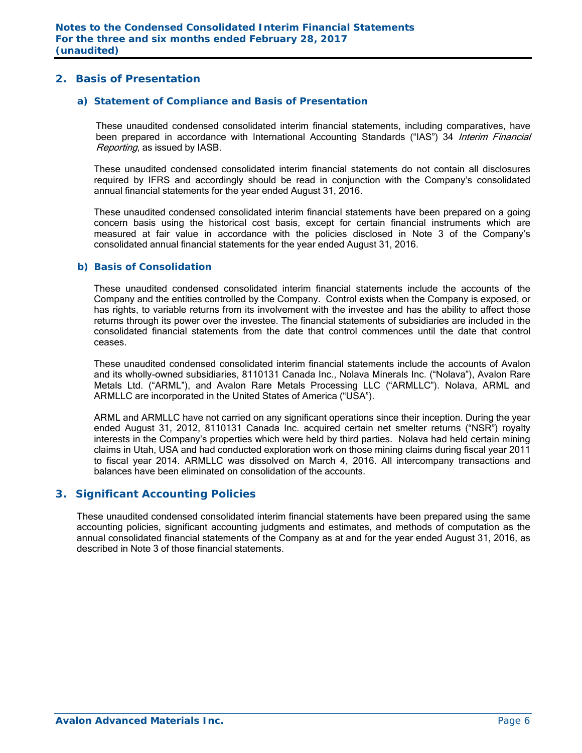## **2. Basis of Presentation**

#### *a) Statement of Compliance and Basis of Presentation*

These unaudited condensed consolidated interim financial statements, including comparatives, have been prepared in accordance with International Accounting Standards ("IAS") 34 Interim Financial Reporting, as issued by IASB.

These unaudited condensed consolidated interim financial statements do not contain all disclosures required by IFRS and accordingly should be read in conjunction with the Company's consolidated annual financial statements for the year ended August 31, 2016.

These unaudited condensed consolidated interim financial statements have been prepared on a going concern basis using the historical cost basis, except for certain financial instruments which are measured at fair value in accordance with the policies disclosed in Note 3 of the Company's consolidated annual financial statements for the year ended August 31, 2016.

#### *b) Basis of Consolidation*

These unaudited condensed consolidated interim financial statements include the accounts of the Company and the entities controlled by the Company. Control exists when the Company is exposed, or has rights, to variable returns from its involvement with the investee and has the ability to affect those returns through its power over the investee. The financial statements of subsidiaries are included in the consolidated financial statements from the date that control commences until the date that control ceases.

These unaudited condensed consolidated interim financial statements include the accounts of Avalon and its wholly-owned subsidiaries, 8110131 Canada Inc., Nolava Minerals Inc. ("Nolava"), Avalon Rare Metals Ltd. ("ARML"), and Avalon Rare Metals Processing LLC ("ARMLLC"). Nolava, ARML and ARMLLC are incorporated in the United States of America ("USA").

ARML and ARMLLC have not carried on any significant operations since their inception. During the year ended August 31, 2012, 8110131 Canada Inc. acquired certain net smelter returns ("NSR") royalty interests in the Company's properties which were held by third parties. Nolava had held certain mining claims in Utah, USA and had conducted exploration work on those mining claims during fiscal year 2011 to fiscal year 2014. ARMLLC was dissolved on March 4, 2016. All intercompany transactions and balances have been eliminated on consolidation of the accounts.

#### **3. Significant Accounting Policies**

These unaudited condensed consolidated interim financial statements have been prepared using the same accounting policies, significant accounting judgments and estimates, and methods of computation as the annual consolidated financial statements of the Company as at and for the year ended August 31, 2016, as described in Note 3 of those financial statements.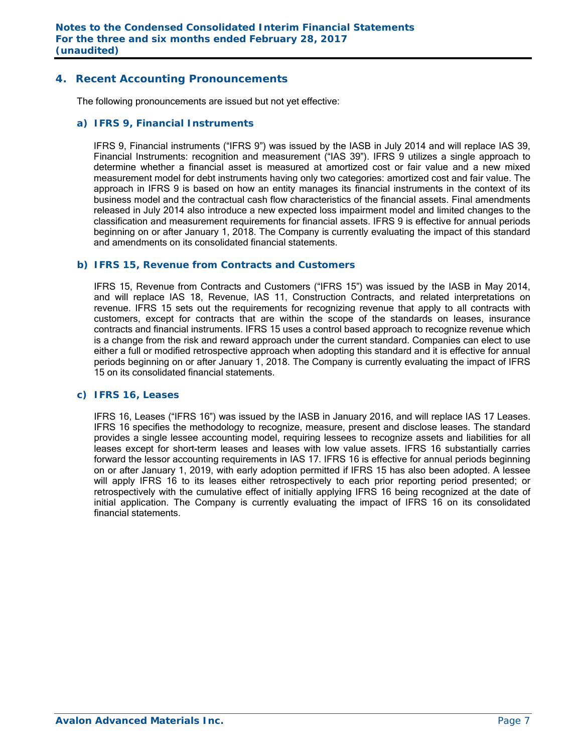## **4. Recent Accounting Pronouncements**

The following pronouncements are issued but not yet effective:

#### *a) IFRS 9, Financial Instruments*

IFRS 9, Financial instruments ("IFRS 9") was issued by the IASB in July 2014 and will replace IAS 39, Financial Instruments: recognition and measurement ("IAS 39"). IFRS 9 utilizes a single approach to determine whether a financial asset is measured at amortized cost or fair value and a new mixed measurement model for debt instruments having only two categories: amortized cost and fair value. The approach in IFRS 9 is based on how an entity manages its financial instruments in the context of its business model and the contractual cash flow characteristics of the financial assets. Final amendments released in July 2014 also introduce a new expected loss impairment model and limited changes to the classification and measurement requirements for financial assets. IFRS 9 is effective for annual periods beginning on or after January 1, 2018. The Company is currently evaluating the impact of this standard and amendments on its consolidated financial statements.

#### *b) IFRS 15, Revenue from Contracts and Customers*

IFRS 15, Revenue from Contracts and Customers ("IFRS 15") was issued by the IASB in May 2014, and will replace IAS 18, Revenue, IAS 11, Construction Contracts, and related interpretations on revenue. IFRS 15 sets out the requirements for recognizing revenue that apply to all contracts with customers, except for contracts that are within the scope of the standards on leases, insurance contracts and financial instruments. IFRS 15 uses a control based approach to recognize revenue which is a change from the risk and reward approach under the current standard. Companies can elect to use either a full or modified retrospective approach when adopting this standard and it is effective for annual periods beginning on or after January 1, 2018. The Company is currently evaluating the impact of IFRS 15 on its consolidated financial statements.

#### *c) IFRS 16, Leases*

 IFRS 16, Leases ("IFRS 16") was issued by the IASB in January 2016, and will replace IAS 17 Leases. IFRS 16 specifies the methodology to recognize, measure, present and disclose leases. The standard provides a single lessee accounting model, requiring lessees to recognize assets and liabilities for all leases except for short-term leases and leases with low value assets. IFRS 16 substantially carries forward the lessor accounting requirements in IAS 17. IFRS 16 is effective for annual periods beginning on or after January 1, 2019, with early adoption permitted if IFRS 15 has also been adopted. A lessee will apply IFRS 16 to its leases either retrospectively to each prior reporting period presented; or retrospectively with the cumulative effect of initially applying IFRS 16 being recognized at the date of initial application. The Company is currently evaluating the impact of IFRS 16 on its consolidated financial statements.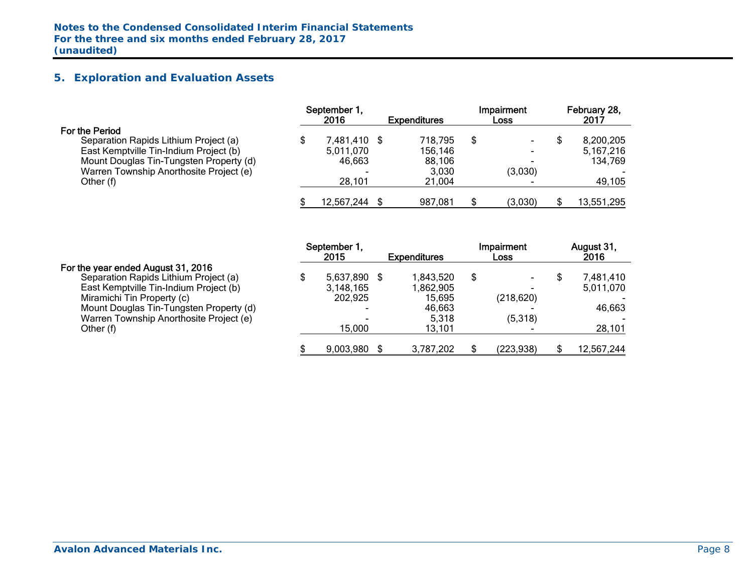## **5. Exploration and Evaluation Assets**

|                                         | September 1.<br>2016 | <b>Expenditures</b> | Impairment<br><b>Loss</b> | February 28,<br>2017 |
|-----------------------------------------|----------------------|---------------------|---------------------------|----------------------|
| For the Period                          |                      |                     |                           |                      |
| Separation Rapids Lithium Project (a)   | 7,481,410 \$         | 718,795             | \$                        | 8,200,205            |
| East Kemptville Tin-Indium Project (b)  | 5,011,070            | 156,146             |                           | 5.167.216            |
| Mount Douglas Tin-Tungsten Property (d) | 46,663               | 88,106              |                           | 134,769              |
| Warren Township Anorthosite Project (e) | -                    | 3,030               | (3,030)                   |                      |
| Other (f)                               | 28,101               | 21.004              |                           | 49,105               |
|                                         | 12,567,244           | 987,081             | (3,030)                   | 13,551,295           |

#### For the year ended August 31, 2016

|                                         | September 1,             |                     | Impairment | August 31, |
|-----------------------------------------|--------------------------|---------------------|------------|------------|
|                                         | 2015                     | <b>Expenditures</b> | Loss       | 2016       |
| For the year ended August 31, 2016      |                          |                     |            |            |
| Separation Rapids Lithium Project (a)   | \$<br>5,637,890          | 1,843,520           | \$         | 7,481,410  |
| East Kemptville Tin-Indium Project (b)  | 3,148,165                | 1,862,905           |            | 5,011,070  |
| Miramichi Tin Property (c)              | 202,925                  | 15,695              | (218, 620) |            |
| Mount Douglas Tin-Tungsten Property (d) | -                        | 46.663              |            | 46,663     |
| Warren Township Anorthosite Project (e) | $\overline{\phantom{0}}$ | 5,318               | (5,318)    |            |
| Other (f)                               | 15.000                   | 13.101              |            | 28,101     |
|                                         |                          |                     |            |            |
|                                         | 9,003,980                | 3,787,202           | (223, 938) | 12,567,244 |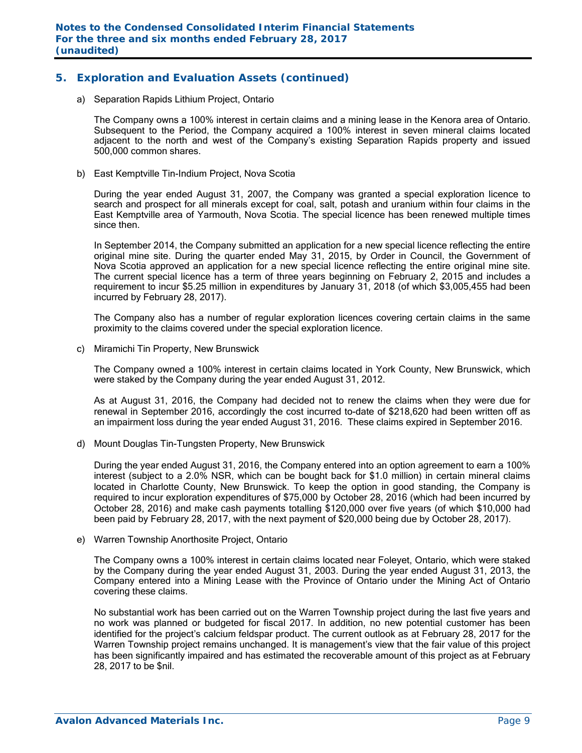## **5. Exploration and Evaluation Assets (continued)**

a) Separation Rapids Lithium Project, Ontario

The Company owns a 100% interest in certain claims and a mining lease in the Kenora area of Ontario. Subsequent to the Period, the Company acquired a 100% interest in seven mineral claims located adjacent to the north and west of the Company's existing Separation Rapids property and issued 500,000 common shares.

b) East Kemptville Tin-Indium Project, Nova Scotia

During the year ended August 31, 2007, the Company was granted a special exploration licence to search and prospect for all minerals except for coal, salt, potash and uranium within four claims in the East Kemptville area of Yarmouth, Nova Scotia. The special licence has been renewed multiple times since then.

In September 2014, the Company submitted an application for a new special licence reflecting the entire original mine site. During the quarter ended May 31, 2015, by Order in Council, the Government of Nova Scotia approved an application for a new special licence reflecting the entire original mine site. The current special licence has a term of three years beginning on February 2, 2015 and includes a requirement to incur \$5.25 million in expenditures by January 31, 2018 (of which \$3,005,455 had been incurred by February 28, 2017).

The Company also has a number of regular exploration licences covering certain claims in the same proximity to the claims covered under the special exploration licence.

c) Miramichi Tin Property, New Brunswick

The Company owned a 100% interest in certain claims located in York County, New Brunswick, which were staked by the Company during the year ended August 31, 2012.

As at August 31, 2016, the Company had decided not to renew the claims when they were due for renewal in September 2016, accordingly the cost incurred to-date of \$218,620 had been written off as an impairment loss during the year ended August 31, 2016. These claims expired in September 2016.

d) Mount Douglas Tin-Tungsten Property, New Brunswick

During the year ended August 31, 2016, the Company entered into an option agreement to earn a 100% interest (subject to a 2.0% NSR, which can be bought back for \$1.0 million) in certain mineral claims located in Charlotte County, New Brunswick. To keep the option in good standing, the Company is required to incur exploration expenditures of \$75,000 by October 28, 2016 (which had been incurred by October 28, 2016) and make cash payments totalling \$120,000 over five years (of which \$10,000 had been paid by February 28, 2017, with the next payment of \$20,000 being due by October 28, 2017).

e) Warren Township Anorthosite Project, Ontario

The Company owns a 100% interest in certain claims located near Foleyet, Ontario, which were staked by the Company during the year ended August 31, 2003. During the year ended August 31, 2013, the Company entered into a Mining Lease with the Province of Ontario under the Mining Act of Ontario covering these claims.

No substantial work has been carried out on the Warren Township project during the last five years and no work was planned or budgeted for fiscal 2017. In addition, no new potential customer has been identified for the project's calcium feldspar product. The current outlook as at February 28, 2017 for the Warren Township project remains unchanged. It is management's view that the fair value of this project has been significantly impaired and has estimated the recoverable amount of this project as at February 28, 2017 to be \$nil.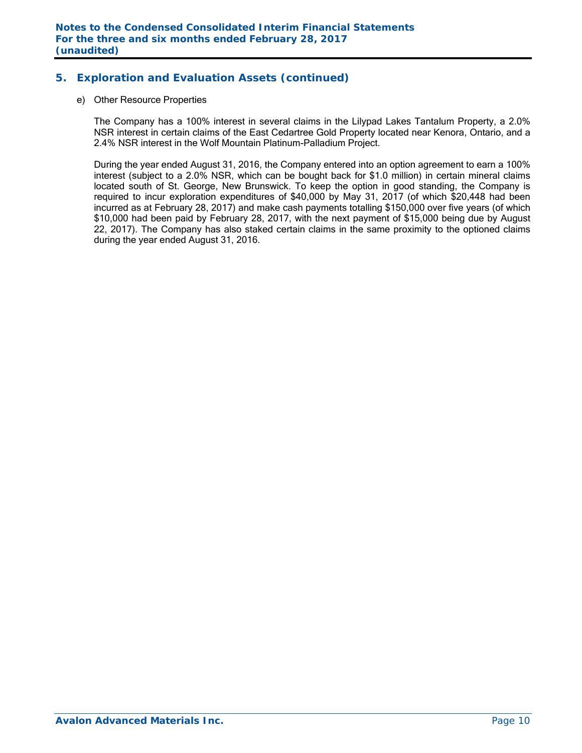## **5. Exploration and Evaluation Assets (continued)**

#### e) Other Resource Properties

The Company has a 100% interest in several claims in the Lilypad Lakes Tantalum Property, a 2.0% NSR interest in certain claims of the East Cedartree Gold Property located near Kenora, Ontario, and a 2.4% NSR interest in the Wolf Mountain Platinum-Palladium Project.

During the year ended August 31, 2016, the Company entered into an option agreement to earn a 100% interest (subject to a 2.0% NSR, which can be bought back for \$1.0 million) in certain mineral claims located south of St. George, New Brunswick. To keep the option in good standing, the Company is required to incur exploration expenditures of \$40,000 by May 31, 2017 (of which \$20,448 had been incurred as at February 28, 2017) and make cash payments totalling \$150,000 over five years (of which \$10,000 had been paid by February 28, 2017, with the next payment of \$15,000 being due by August 22, 2017). The Company has also staked certain claims in the same proximity to the optioned claims during the year ended August 31, 2016.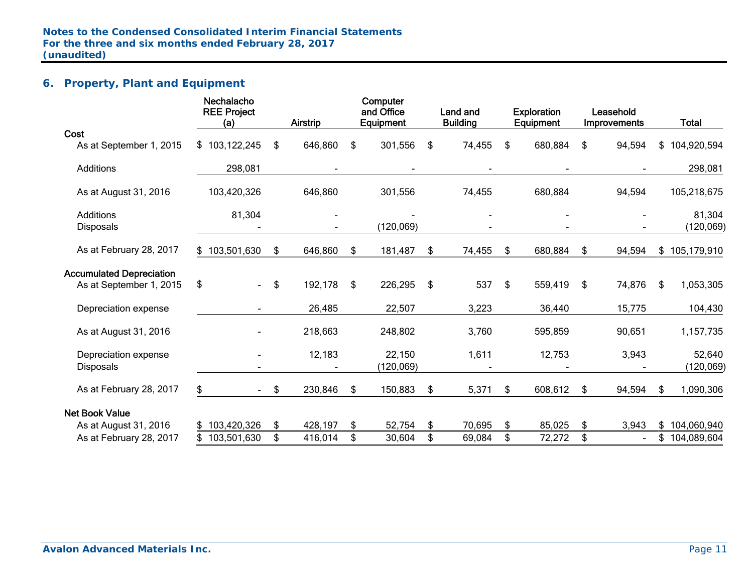## **6. Property, Plant and Equipment**

|                                                            | Nechalacho<br><b>REE Project</b><br>(a) | Airstrip      | Computer<br>and Office<br>Equipment | Land and<br><b>Building</b> | <b>Exploration</b><br>Equipment | Leasehold<br>Improvements | <b>Total</b>         |
|------------------------------------------------------------|-----------------------------------------|---------------|-------------------------------------|-----------------------------|---------------------------------|---------------------------|----------------------|
| Cost                                                       |                                         |               |                                     |                             |                                 |                           |                      |
| As at September 1, 2015                                    | \$103,122,245                           | \$<br>646,860 | \$<br>301,556                       | \$<br>74,455                | \$<br>680,884                   | \$<br>94,594              | \$<br>104,920,594    |
| Additions                                                  | 298,081                                 |               |                                     |                             |                                 |                           | 298,081              |
| As at August 31, 2016                                      | 103,420,326                             | 646,860       | 301,556                             | 74,455                      | 680,884                         | 94,594                    | 105,218,675          |
| Additions<br><b>Disposals</b>                              | 81,304                                  |               | (120, 069)                          |                             |                                 |                           | 81,304<br>(120, 069) |
| As at February 28, 2017                                    | \$103,501,630                           | \$<br>646,860 | \$<br>181,487                       | \$<br>74,455                | \$<br>680,884                   | \$<br>94,594              | \$105,179,910        |
| <b>Accumulated Depreciation</b><br>As at September 1, 2015 | \$<br>$\blacksquare$                    | \$<br>192,178 | \$<br>226,295                       | \$<br>537                   | \$<br>559,419                   | \$<br>74,876              | \$<br>1,053,305      |
| Depreciation expense                                       |                                         | 26,485        | 22,507                              | 3,223                       | 36,440                          | 15,775                    | 104,430              |
| As at August 31, 2016                                      |                                         | 218,663       | 248,802                             | 3,760                       | 595,859                         | 90,651                    | 1,157,735            |
| Depreciation expense<br><b>Disposals</b>                   |                                         | 12,183        | 22,150<br>(120, 069)                | 1,611                       | 12,753                          | 3,943                     | 52,640<br>(120, 069) |
| As at February 28, 2017                                    | \$                                      | \$<br>230,846 | \$<br>150,883                       | \$<br>5,371                 | \$<br>608,612                   | \$<br>94,594              | \$<br>1,090,306      |
| <b>Net Book Value</b>                                      |                                         |               |                                     |                             |                                 |                           |                      |
| As at August 31, 2016                                      | \$103,420,326                           | \$<br>428,197 | \$<br>52,754                        | \$<br>70,695                | \$<br>85,025                    | \$<br>3,943               | \$<br>104,060,940    |
| As at February 28, 2017                                    | \$103,501,630                           | \$<br>416,014 | \$<br>30,604                        | \$<br>69,084                | \$<br>72,272                    | \$                        | \$<br>104,089,604    |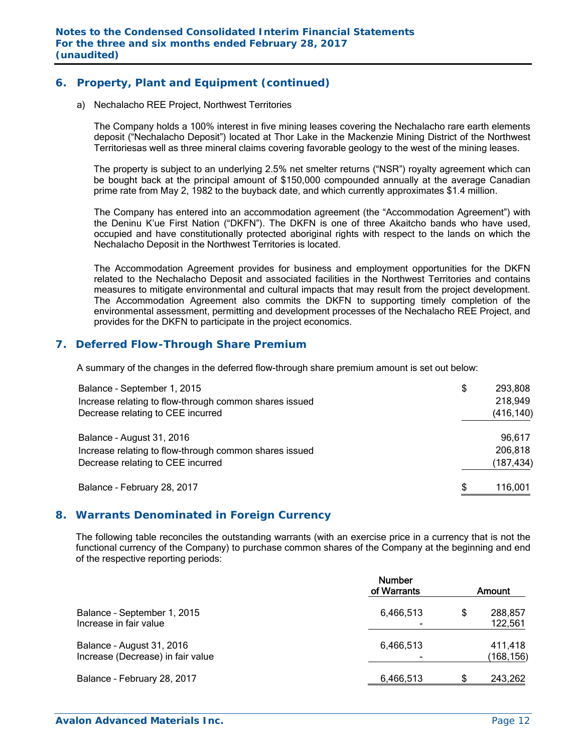## **6. Property, Plant and Equipment (continued)**

a) Nechalacho REE Project, Northwest Territories

The Company holds a 100% interest in five mining leases covering the Nechalacho rare earth elements deposit ("Nechalacho Deposit") located at Thor Lake in the Mackenzie Mining District of the Northwest Territoriesas well as three mineral claims covering favorable geology to the west of the mining leases.

The property is subject to an underlying 2.5% net smelter returns ("NSR") royalty agreement which can be bought back at the principal amount of \$150,000 compounded annually at the average Canadian prime rate from May 2, 1982 to the buyback date, and which currently approximates \$1.4 million.

The Company has entered into an accommodation agreement (the "Accommodation Agreement") with the Deninu K'ue First Nation ("DKFN"). The DKFN is one of three Akaitcho bands who have used, occupied and have constitutionally protected aboriginal rights with respect to the lands on which the Nechalacho Deposit in the Northwest Territories is located.

The Accommodation Agreement provides for business and employment opportunities for the DKFN related to the Nechalacho Deposit and associated facilities in the Northwest Territories and contains measures to mitigate environmental and cultural impacts that may result from the project development. The Accommodation Agreement also commits the DKFN to supporting timely completion of the environmental assessment, permitting and development processes of the Nechalacho REE Project, and provides for the DKFN to participate in the project economics.

## **7. Deferred Flow-Through Share Premium**

A summary of the changes in the deferred flow-through share premium amount is set out below:

| Balance - September 1, 2015<br>Increase relating to flow-through common shares issued<br>Decrease relating to CEE incurred | \$  | 293,808<br>218,949<br>(416, 140) |
|----------------------------------------------------------------------------------------------------------------------------|-----|----------------------------------|
| Balance - August 31, 2016<br>Increase relating to flow-through common shares issued<br>Decrease relating to CEE incurred   |     | 96,617<br>206,818<br>(187, 434)  |
| Balance - February 28, 2017                                                                                                | \$. | 116,001                          |

#### **8. Warrants Denominated in Foreign Currency**

The following table reconciles the outstanding warrants (with an exercise price in a currency that is not the functional currency of the Company) to purchase common shares of the Company at the beginning and end of the respective reporting periods:

|                                                                | <b>Number</b><br>of Warrants |   | Amount               |
|----------------------------------------------------------------|------------------------------|---|----------------------|
| Balance - September 1, 2015<br>Increase in fair value          | 6,466,513                    | S | 288,857<br>122,561   |
| Balance - August 31, 2016<br>Increase (Decrease) in fair value | 6,466,513                    |   | 411,418<br>(168,156) |
| Balance - February 28, 2017                                    | 6,466,513                    | S | 243,262              |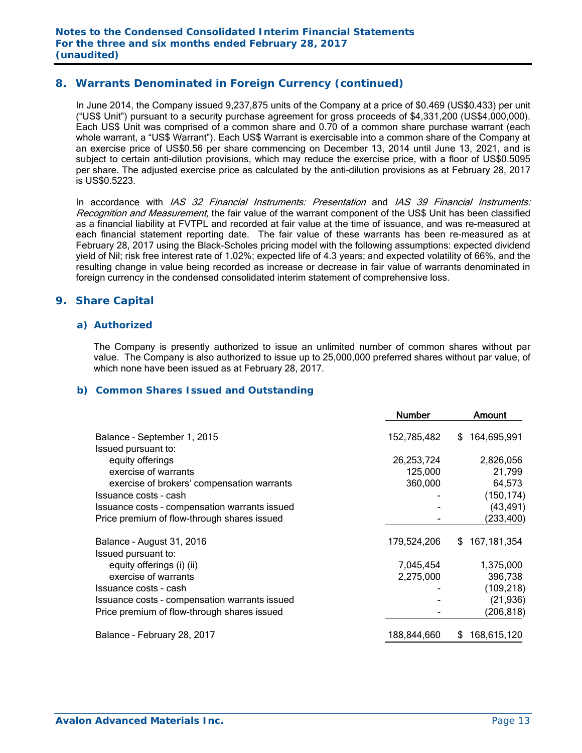## **8. Warrants Denominated in Foreign Currency (continued)**

In June 2014, the Company issued 9,237,875 units of the Company at a price of \$0.469 (US\$0.433) per unit ("US\$ Unit") pursuant to a security purchase agreement for gross proceeds of \$4,331,200 (US\$4,000,000). Each US\$ Unit was comprised of a common share and 0.70 of a common share purchase warrant (each whole warrant, a "US\$ Warrant"). Each US\$ Warrant is exercisable into a common share of the Company at an exercise price of US\$0.56 per share commencing on December 13, 2014 until June 13, 2021, and is subject to certain anti-dilution provisions, which may reduce the exercise price, with a floor of US\$0.5095 per share. The adjusted exercise price as calculated by the anti-dilution provisions as at February 28, 2017 is US\$0.5223.

In accordance with IAS 32 Financial Instruments: Presentation and IAS 39 Financial Instruments: Recognition and Measurement, the fair value of the warrant component of the US\$ Unit has been classified as a financial liability at FVTPL and recorded at fair value at the time of issuance, and was re-measured at each financial statement reporting date. The fair value of these warrants has been re-measured as at February 28, 2017 using the Black-Scholes pricing model with the following assumptions: expected dividend yield of Nil; risk free interest rate of 1.02%; expected life of 4.3 years; and expected volatility of 66%, and the resulting change in value being recorded as increase or decrease in fair value of warrants denominated in foreign currency in the condensed consolidated interim statement of comprehensive loss.

## **9. Share Capital**

#### *a) Authorized*

The Company is presently authorized to issue an unlimited number of common shares without par value. The Company is also authorized to issue up to 25,000,000 preferred shares without par value, of which none have been issued as at February 28, 2017.

#### *b) Common Shares Issued and Outstanding*

|                                               | <b>Number</b> | Amount            |
|-----------------------------------------------|---------------|-------------------|
| Balance - September 1, 2015                   | 152,785,482   | 164,695,991<br>\$ |
| Issued pursuant to:                           |               |                   |
| equity offerings                              | 26,253,724    | 2,826,056         |
| exercise of warrants                          | 125,000       | 21,799            |
| exercise of brokers' compensation warrants    | 360,000       | 64,573            |
| Issuance costs - cash                         |               | (150, 174)        |
| Issuance costs - compensation warrants issued |               | (43, 491)         |
| Price premium of flow-through shares issued   |               | (233, 400)        |
| Balance - August 31, 2016                     | 179,524,206   | 167,181,354<br>\$ |
| Issued pursuant to:                           |               |                   |
| equity offerings (i) (ii)                     | 7,045,454     | 1,375,000         |
| exercise of warrants                          | 2,275,000     | 396,738           |
| Issuance costs - cash                         |               | (109, 218)        |
| Issuance costs - compensation warrants issued |               | (21, 936)         |
| Price premium of flow-through shares issued   |               | (206, 818)        |
| Balance - February 28, 2017                   | 188,844,660   | 168,615,120<br>S  |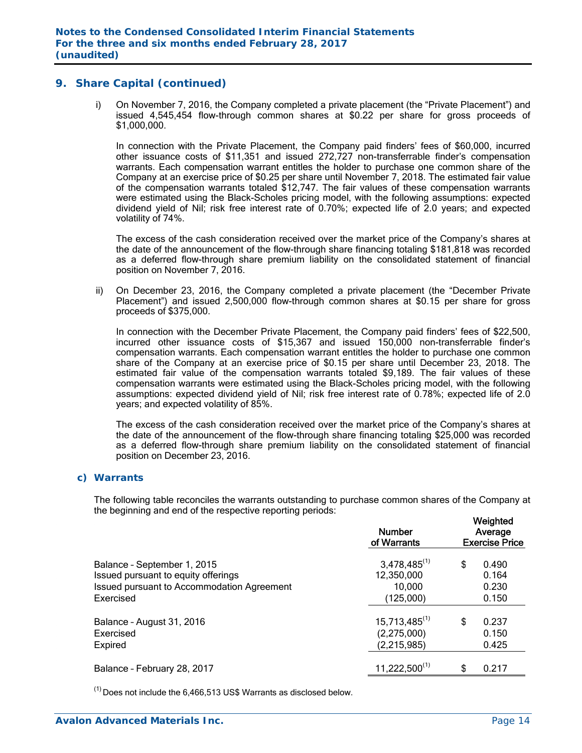i) On November 7, 2016, the Company completed a private placement (the "Private Placement") and issued 4,545,454 flow-through common shares at \$0.22 per share for gross proceeds of \$1,000,000.

In connection with the Private Placement, the Company paid finders' fees of \$60,000, incurred other issuance costs of \$11,351 and issued 272,727 non-transferrable finder's compensation warrants. Each compensation warrant entitles the holder to purchase one common share of the Company at an exercise price of \$0.25 per share until November 7, 2018. The estimated fair value of the compensation warrants totaled \$12,747. The fair values of these compensation warrants were estimated using the Black-Scholes pricing model, with the following assumptions: expected dividend yield of Nil; risk free interest rate of 0.70%; expected life of 2.0 years; and expected volatility of 74%.

The excess of the cash consideration received over the market price of the Company's shares at the date of the announcement of the flow-through share financing totaling \$181,818 was recorded as a deferred flow-through share premium liability on the consolidated statement of financial position on November 7, 2016.

ii) On December 23, 2016, the Company completed a private placement (the "December Private Placement") and issued 2,500,000 flow-through common shares at \$0.15 per share for gross proceeds of \$375,000.

In connection with the December Private Placement, the Company paid finders' fees of \$22,500, incurred other issuance costs of \$15,367 and issued 150,000 non-transferrable finder's compensation warrants. Each compensation warrant entitles the holder to purchase one common share of the Company at an exercise price of \$0.15 per share until December 23, 2018. The estimated fair value of the compensation warrants totaled \$9,189. The fair values of these compensation warrants were estimated using the Black-Scholes pricing model, with the following assumptions: expected dividend yield of Nil; risk free interest rate of 0.78%; expected life of 2.0 years; and expected volatility of 85%.

The excess of the cash consideration received over the market price of the Company's shares at the date of the announcement of the flow-through share financing totaling \$25,000 was recorded as a deferred flow-through share premium liability on the consolidated statement of financial position on December 23, 2016.

#### *c) Warrants*

The following table reconciles the warrants outstanding to purchase common shares of the Company at the beginning and end of the respective reporting periods:

|                                                                                                                               | <b>Number</b><br>of Warrants                           | Weighted<br>Average<br><b>Exercise Price</b> |
|-------------------------------------------------------------------------------------------------------------------------------|--------------------------------------------------------|----------------------------------------------|
| Balance - September 1, 2015<br>Issued pursuant to equity offerings<br>Issued pursuant to Accommodation Agreement<br>Exercised | $3,478,485^{(1)}$<br>12,350,000<br>10,000<br>(125,000) | \$<br>0.490<br>0.164<br>0.230<br>0.150       |
| Balance - August 31, 2016<br>Exercised<br>Expired                                                                             | $15,713,485^{(1)}$<br>(2,275,000)<br>(2,215,985)       | \$<br>0.237<br>0.150<br>0.425                |
| Balance - February 28, 2017                                                                                                   | $11,222,500^{(1)}$                                     | \$<br>0.217                                  |

 $<sup>(1)</sup>$  Does not include the 6.466,513 US\$ Warrants as disclosed below.</sup>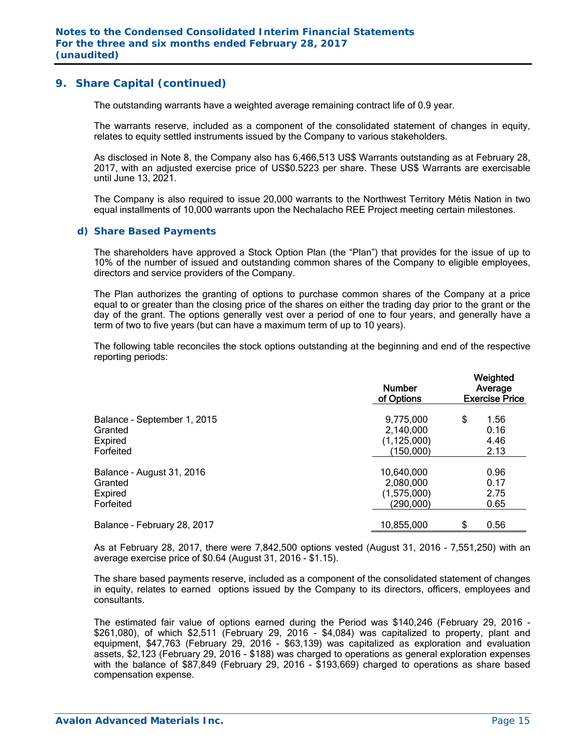The outstanding warrants have a weighted average remaining contract life of 0.9 year.

The warrants reserve, included as a component of the consolidated statement of changes in equity, relates to equity settled instruments issued by the Company to various stakeholders.

As disclosed in Note 8, the Company also has 6,466,513 US\$ Warrants outstanding as at February 28, 2017, with an adjusted exercise price of US\$0.5223 per share. These US\$ Warrants are exercisable until June 13, 2021.

The Company is also required to issue 20,000 warrants to the Northwest Territory Métis Nation in two equal installments of 10,000 warrants upon the Nechalacho REE Project meeting certain milestones.

#### *d) Share Based Payments*

The shareholders have approved a Stock Option Plan (the "Plan") that provides for the issue of up to 10% of the number of issued and outstanding common shares of the Company to eligible employees, directors and service providers of the Company.

The Plan authorizes the granting of options to purchase common shares of the Company at a price equal to or greater than the closing price of the shares on either the trading day prior to the grant or the day of the grant. The options generally vest over a period of one to four years, and generally have a term of two to five years (but can have a maximum term of up to 10 years).

The following table reconciles the stock options outstanding at the beginning and end of the respective reporting periods:

|                             | <b>Number</b><br>of Options | Weighted<br>Average<br><b>Exercise Price</b> |      |  |  |
|-----------------------------|-----------------------------|----------------------------------------------|------|--|--|
| Balance - September 1, 2015 | 9,775,000                   | \$                                           | 1.56 |  |  |
| Granted                     | 2,140,000                   |                                              | 0.16 |  |  |
| Expired                     | (1, 125, 000)               |                                              | 4.46 |  |  |
| Forfeited                   | (150,000)                   |                                              | 2.13 |  |  |
| Balance - August 31, 2016   | 10,640,000                  |                                              | 0.96 |  |  |
| Granted                     | 2,080,000                   |                                              | 0.17 |  |  |
| Expired                     | (1,575,000)                 |                                              | 2.75 |  |  |
| Forfeited                   | (290,000)                   |                                              | 0.65 |  |  |
| Balance - February 28, 2017 | 10,855,000                  | \$                                           | 0.56 |  |  |

As at February 28, 2017, there were 7,842,500 options vested (August 31, 2016 – 7,551,250) with an average exercise price of \$0.64 (August 31, 2016 - \$1.15).

The share based payments reserve, included as a component of the consolidated statement of changes in equity, relates to earned options issued by the Company to its directors, officers, employees and consultants.

The estimated fair value of options earned during the Period was \$140,246 (February 29, 2016 - \$261,080), of which \$2,511 (February 29, 2016 - \$4,084) was capitalized to property, plant and equipment, \$47,763 (February 29, 2016 - \$63,139) was capitalized as exploration and evaluation assets, \$2,123 (February 29, 2016 - \$188) was charged to operations as general exploration expenses with the balance of \$87,849 (February 29, 2016 - \$193,669) charged to operations as share based compensation expense.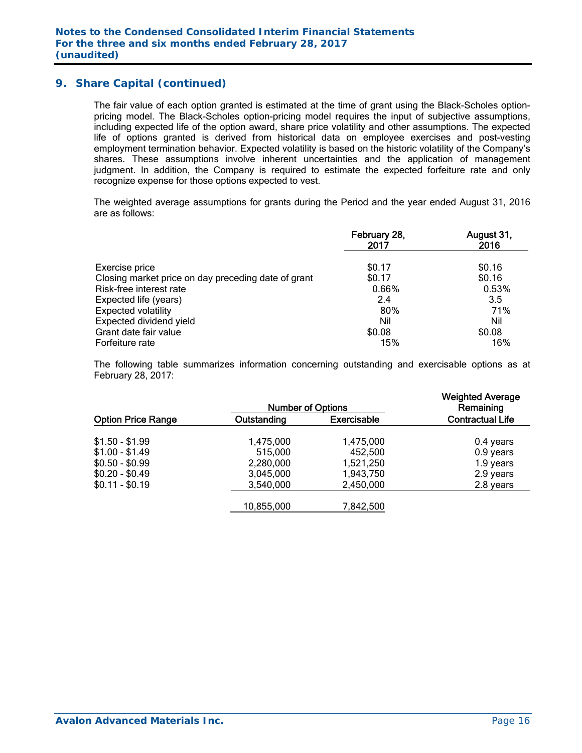The fair value of each option granted is estimated at the time of grant using the Black-Scholes optionpricing model. The Black-Scholes option-pricing model requires the input of subjective assumptions, including expected life of the option award, share price volatility and other assumptions. The expected life of options granted is derived from historical data on employee exercises and post-vesting employment termination behavior. Expected volatility is based on the historic volatility of the Company's shares. These assumptions involve inherent uncertainties and the application of management judgment. In addition, the Company is required to estimate the expected forfeiture rate and only recognize expense for those options expected to vest.

The weighted average assumptions for grants during the Period and the year ended August 31, 2016 are as follows:

|                                                     | February 28,<br>2017 | August 31,<br>2016 |
|-----------------------------------------------------|----------------------|--------------------|
| Exercise price                                      | \$0.17               | \$0.16             |
| Closing market price on day preceding date of grant | \$0.17               | \$0.16             |
| Risk-free interest rate                             | 0.66%                | 0.53%              |
| Expected life (years)                               | 2.4                  | 3.5                |
| <b>Expected volatility</b>                          | 80%                  | 71%                |
| Expected dividend yield                             | Nil                  | Nil                |
| Grant date fair value                               | \$0.08               | \$0.08             |
| Forfeiture rate                                     | 15%                  | 16%                |

The following table summarizes information concerning outstanding and exercisable options as at February 28, 2017:

|                           | <b>Number of Options</b> |                    | <b>Weighted Average</b><br>Remaining |
|---------------------------|--------------------------|--------------------|--------------------------------------|
| <b>Option Price Range</b> | Outstanding              | <b>Exercisable</b> | <b>Contractual Life</b>              |
| $$1.50 - $1.99$           | 1,475,000                | 1,475,000          | 0.4 years                            |
| $$1.00 - $1.49$           | 515,000                  | 452,500            | 0.9 years                            |
| $$0.50 - $0.99$           | 2,280,000                | 1,521,250          | 1.9 years                            |
| $$0.20 - $0.49$           | 3,045,000                | 1,943,750          | 2.9 years                            |
| $$0.11 - $0.19$           | 3,540,000                | 2,450,000          | 2.8 years                            |
|                           | 10,855,000               | 7,842,500          |                                      |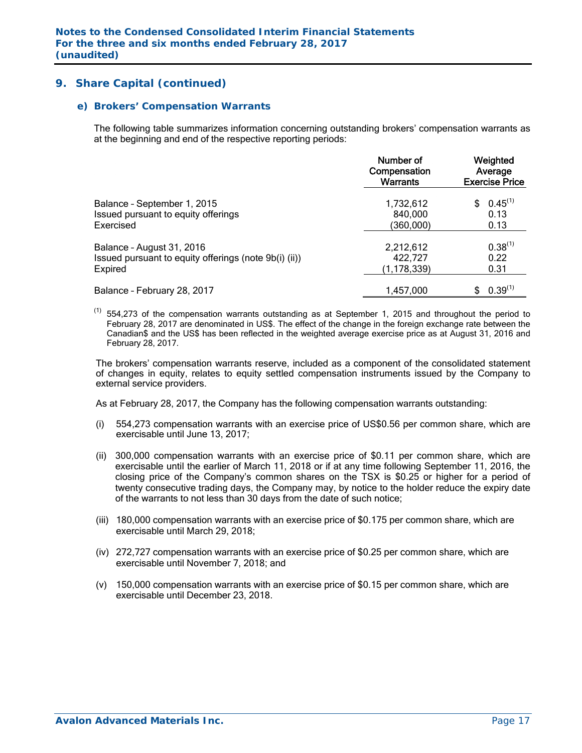#### *e) Brokers' Compensation Warrants*

The following table summarizes information concerning outstanding brokers' compensation warrants as at the beginning and end of the respective reporting periods:

|                                                       | Number of<br>Compensation<br><b>Warrants</b> | Weighted<br>Average<br><b>Exercise Price</b> |  |  |
|-------------------------------------------------------|----------------------------------------------|----------------------------------------------|--|--|
| Balance - September 1, 2015                           | 1,732,612                                    | $0.45^{(1)}$                                 |  |  |
| Issued pursuant to equity offerings                   | 840,000                                      | 0.13                                         |  |  |
| Exercised                                             | (360,000)                                    | 0.13                                         |  |  |
| Balance - August 31, 2016                             | 2,212,612                                    | $0.38^{(1)}$                                 |  |  |
| Issued pursuant to equity offerings (note 9b(i) (ii)) | 422,727                                      | 0.22                                         |  |  |
| Expired                                               | (1,178,339)                                  | 0.31                                         |  |  |
| Balance - February 28, 2017                           | 1,457,000                                    | $0.39^{(1)}$                                 |  |  |

 $(1)$  554,273 of the compensation warrants outstanding as at September 1, 2015 and throughout the period to February 28, 2017 are denominated in US\$. The effect of the change in the foreign exchange rate between the Canadian\$ and the US\$ has been reflected in the weighted average exercise price as at August 31, 2016 and February 28, 2017.

The brokers' compensation warrants reserve, included as a component of the consolidated statement of changes in equity, relates to equity settled compensation instruments issued by the Company to external service providers.

As at February 28, 2017, the Company has the following compensation warrants outstanding:

- (i) 554,273 compensation warrants with an exercise price of US\$0.56 per common share, which are exercisable until June 13, 2017;
- (ii) 300,000 compensation warrants with an exercise price of \$0.11 per common share, which are exercisable until the earlier of March 11, 2018 or if at any time following September 11, 2016, the closing price of the Company's common shares on the TSX is \$0.25 or higher for a period of twenty consecutive trading days, the Company may, by notice to the holder reduce the expiry date of the warrants to not less than 30 days from the date of such notice;
- (iii) 180,000 compensation warrants with an exercise price of \$0.175 per common share, which are exercisable until March 29, 2018;
- (iv) 272,727 compensation warrants with an exercise price of \$0.25 per common share, which are exercisable until November 7, 2018; and
- (v) 150,000 compensation warrants with an exercise price of \$0.15 per common share, which are exercisable until December 23, 2018.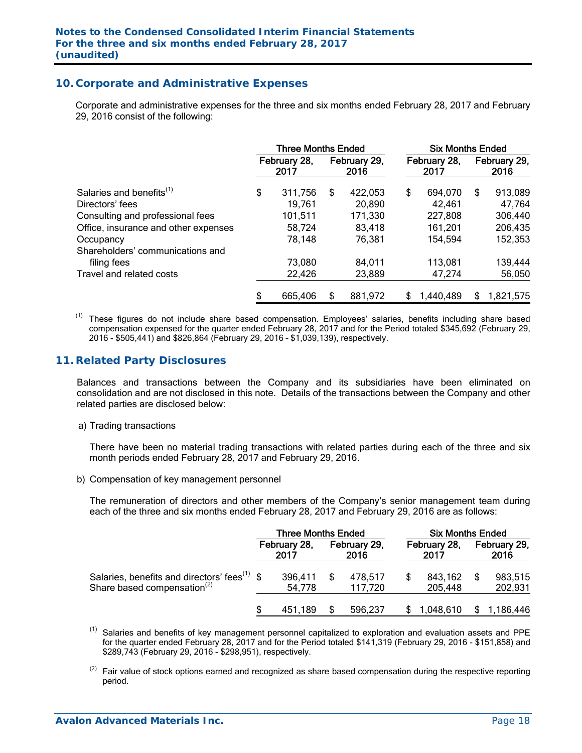## **10. Corporate and Administrative Expenses**

 Corporate and administrative expenses for the three and six months ended February 28, 2017 and February 29, 2016 consist of the following:

|                                      | <b>Three Months Ended</b> |                      |    |                      |    | <b>Six Months Ended</b> |     |                      |  |
|--------------------------------------|---------------------------|----------------------|----|----------------------|----|-------------------------|-----|----------------------|--|
|                                      |                           | February 28,<br>2017 |    | February 29,<br>2016 |    | February 28,<br>2017    |     | February 29.<br>2016 |  |
| Salaries and benefits <sup>(1)</sup> | \$                        | 311,756              | \$ | 422,053              | \$ | 694,070                 | S   | 913,089              |  |
| Directors' fees                      |                           | 19,761               |    | 20,890               |    | 42,461                  |     | 47,764               |  |
| Consulting and professional fees     |                           | 101,511              |    | 171,330              |    | 227,808                 |     | 306,440              |  |
| Office, insurance and other expenses |                           | 58,724               |    | 83,418               |    | 161,201                 |     | 206,435              |  |
| Occupancy                            |                           | 78,148               |    | 76,381               |    | 154,594                 |     | 152,353              |  |
| Shareholders' communications and     |                           |                      |    |                      |    |                         |     |                      |  |
| filing fees                          |                           | 73,080               |    | 84,011               |    | 113,081                 |     | 139,444              |  |
| Travel and related costs             |                           | 22,426               |    | 23,889               |    | 47,274                  |     | 56,050               |  |
|                                      | \$                        | 665,406              | S  | 881,972              | S  | 1,440,489               | \$. | 1,821,575            |  |

 $<sup>(1)</sup>$  These figures do not include share based compensation. Employees' salaries, benefits including share based</sup> compensation expensed for the quarter ended February 28, 2017 and for the Period totaled \$345,692 (February 29, 2016 - \$505,441) and \$826,864 (February 29, 2016 – \$1,039,139), respectively.

## **11. Related Party Disclosures**

Balances and transactions between the Company and its subsidiaries have been eliminated on consolidation and are not disclosed in this note. Details of the transactions between the Company and other related parties are disclosed below:

a) Trading transactions

There have been no material trading transactions with related parties during each of the three and six month periods ended February 28, 2017 and February 29, 2016.

b) Compensation of key management personnel

The remuneration of directors and other members of the Company's senior management team during each of the three and six months ended February 28, 2017 and February 29, 2016 are as follows:

|                                                                                                     | Three Months Ended |                      |  |                      | <b>Six Months Ended</b> |                    |                      |                    |  |
|-----------------------------------------------------------------------------------------------------|--------------------|----------------------|--|----------------------|-------------------------|--------------------|----------------------|--------------------|--|
|                                                                                                     |                    | February 28,<br>2017 |  | February 29,<br>2016 | February 28,<br>2017    |                    | February 29,<br>2016 |                    |  |
| Salaries, benefits and directors' fees <sup>(1)</sup> \$<br>Share based compensation <sup>(2)</sup> |                    | 396,411<br>54,778    |  | 478,517<br>117.720   | S                       | 843,162<br>205,448 |                      | 983,515<br>202,931 |  |
|                                                                                                     |                    | 451.189              |  | 596,237              |                         | 1,048,610          |                      | 1,186,446          |  |

 $(1)$ Salaries and benefits of key management personnel capitalized to exploration and evaluation assets and PPE for the quarter ended February 28, 2017 and for the Period totaled \$141,319 (February 29, 2016 - \$151,858) and \$289,743 (February 29, 2016 - \$298,951), respectively.

 $(2)$  Fair value of stock options earned and recognized as share based compensation during the respective reporting period.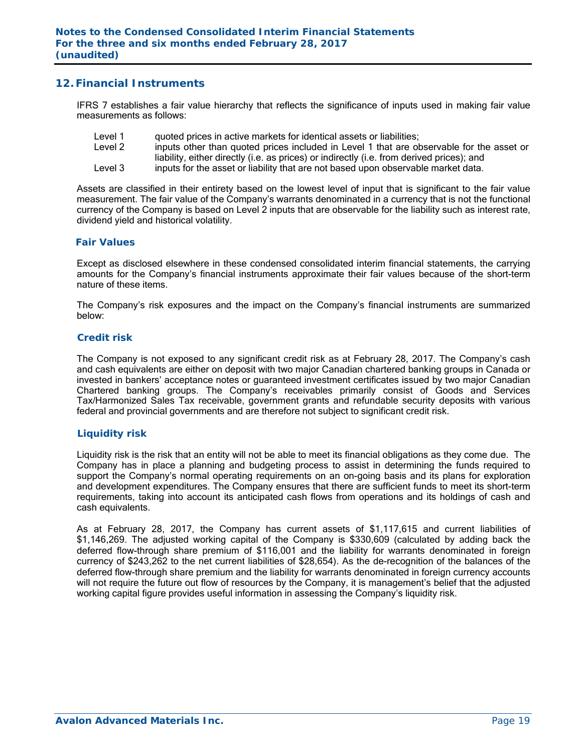## **12. Financial Instruments**

IFRS 7 establishes a fair value hierarchy that reflects the significance of inputs used in making fair value measurements as follows:

- Level 1 quoted prices in active markets for identical assets or liabilities;
- Level 2 inputs other than quoted prices included in Level 1 that are observable for the asset or liability, either directly (i.e. as prices) or indirectly (i.e. from derived prices); and
- Level 3 inputs for the asset or liability that are not based upon observable market data.

Assets are classified in their entirety based on the lowest level of input that is significant to the fair value measurement. The fair value of the Company's warrants denominated in a currency that is not the functional currency of the Company is based on Level 2 inputs that are observable for the liability such as interest rate, dividend yield and historical volatility.

#### *Fair Values*

Except as disclosed elsewhere in these condensed consolidated interim financial statements, the carrying amounts for the Company's financial instruments approximate their fair values because of the short-term nature of these items.

The Company's risk exposures and the impact on the Company's financial instruments are summarized below:

#### *Credit risk*

The Company is not exposed to any significant credit risk as at February 28, 2017. The Company's cash and cash equivalents are either on deposit with two major Canadian chartered banking groups in Canada or invested in bankers' acceptance notes or guaranteed investment certificates issued by two major Canadian Chartered banking groups. The Company's receivables primarily consist of Goods and Services Tax/Harmonized Sales Tax receivable, government grants and refundable security deposits with various federal and provincial governments and are therefore not subject to significant credit risk.

#### *Liquidity risk*

Liquidity risk is the risk that an entity will not be able to meet its financial obligations as they come due. The Company has in place a planning and budgeting process to assist in determining the funds required to support the Company's normal operating requirements on an on-going basis and its plans for exploration and development expenditures. The Company ensures that there are sufficient funds to meet its short-term requirements, taking into account its anticipated cash flows from operations and its holdings of cash and cash equivalents.

As at February 28, 2017, the Company has current assets of \$1,117,615 and current liabilities of \$1,146,269. The adjusted working capital of the Company is \$330,609 (calculated by adding back the deferred flow-through share premium of \$116,001 and the liability for warrants denominated in foreign currency of \$243,262 to the net current liabilities of \$28,654). As the de-recognition of the balances of the deferred flow-through share premium and the liability for warrants denominated in foreign currency accounts will not require the future out flow of resources by the Company, it is management's belief that the adjusted working capital figure provides useful information in assessing the Company's liquidity risk.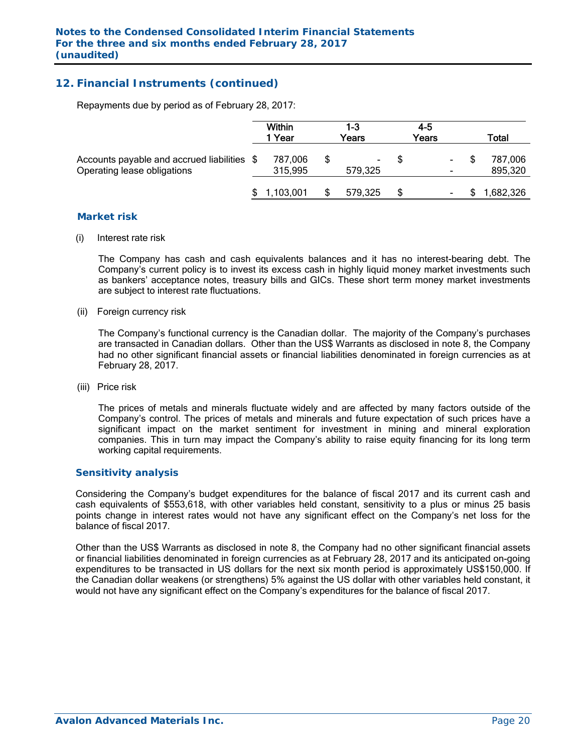## **12. Financial Instruments (continued)**

Repayments due by period as of February 28, 2017:

|                                                                            | Within<br>1 Year |                    | 1-3<br>Years |               | $4 - 5$<br>Years         | Total              |
|----------------------------------------------------------------------------|------------------|--------------------|--------------|---------------|--------------------------|--------------------|
| Accounts payable and accrued liabilities \$<br>Operating lease obligations |                  | 787,006<br>315,995 |              | ۰.<br>579,325 | ۰.                       | 787,006<br>895,320 |
|                                                                            |                  | 1,103,001          |              | 579,325       | $\overline{\phantom{a}}$ | 1,682,326          |

#### *Market risk*

(i) Interest rate risk

 The Company has cash and cash equivalents balances and it has no interest-bearing debt. The Company's current policy is to invest its excess cash in highly liquid money market investments such as bankers' acceptance notes, treasury bills and GICs. These short term money market investments are subject to interest rate fluctuations.

(ii) Foreign currency risk

 The Company's functional currency is the Canadian dollar. The majority of the Company's purchases are transacted in Canadian dollars. Other than the US\$ Warrants as disclosed in note 8, the Company had no other significant financial assets or financial liabilities denominated in foreign currencies as at February 28, 2017.

(iii) Price risk

 The prices of metals and minerals fluctuate widely and are affected by many factors outside of the Company's control. The prices of metals and minerals and future expectation of such prices have a significant impact on the market sentiment for investment in mining and mineral exploration companies. This in turn may impact the Company's ability to raise equity financing for its long term working capital requirements.

#### *Sensitivity analysis*

 Considering the Company's budget expenditures for the balance of fiscal 2017 and its current cash and cash equivalents of \$553,618, with other variables held constant, sensitivity to a plus or minus 25 basis points change in interest rates would not have any significant effect on the Company's net loss for the balance of fiscal 2017.

Other than the US\$ Warrants as disclosed in note 8, the Company had no other significant financial assets or financial liabilities denominated in foreign currencies as at February 28, 2017 and its anticipated on-going expenditures to be transacted in US dollars for the next six month period is approximately US\$150,000. If the Canadian dollar weakens (or strengthens) 5% against the US dollar with other variables held constant, it would not have any significant effect on the Company's expenditures for the balance of fiscal 2017.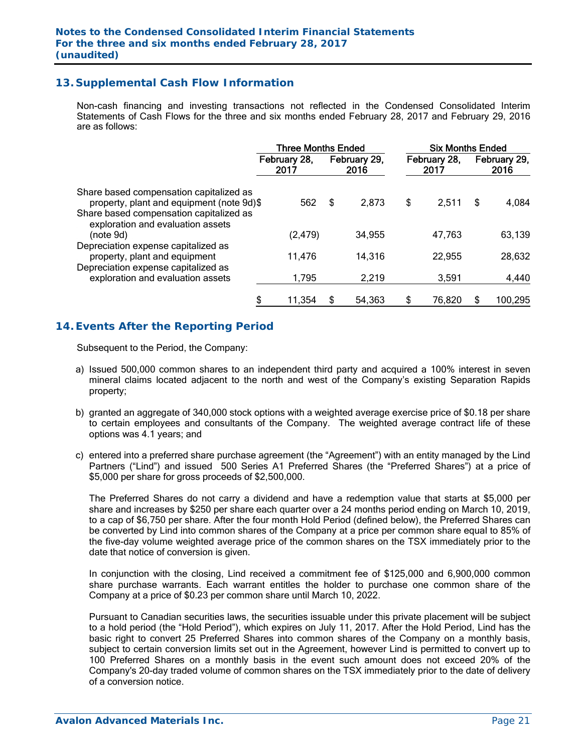## **13. Supplemental Cash Flow Information**

Non-cash financing and investing transactions not reflected in the Condensed Consolidated Interim Statements of Cash Flows for the three and six months ended February 28, 2017 and February 29, 2016 are as follows:

|                                                                                           | <b>Three Months Ended</b> |    |                      |    | <b>Six Months Ended</b> |    |                      |  |
|-------------------------------------------------------------------------------------------|---------------------------|----|----------------------|----|-------------------------|----|----------------------|--|
|                                                                                           | February 28,<br>2017      |    | February 29,<br>2016 |    | February 28,<br>2017    |    | February 29,<br>2016 |  |
| Share based compensation capitalized as<br>property, plant and equipment (note 9d)\$      | 562                       | Ŝ. | 2,873                | \$ | 2,511                   | \$ | 4,084                |  |
| Share based compensation capitalized as<br>exploration and evaluation assets<br>(note 9d) | (2, 479)                  |    | 34,955               |    | 47,763                  |    | 63,139               |  |
| Depreciation expense capitalized as<br>property, plant and equipment                      | 11,476                    |    | 14,316               |    | 22,955                  |    | 28,632               |  |
| Depreciation expense capitalized as<br>exploration and evaluation assets                  | 1,795                     |    | 2,219                |    | 3,591                   |    | 4,440                |  |
|                                                                                           | 11,354                    | S  | 54,363               | \$ | 76,820                  |    | 100,295              |  |

## **14. Events After the Reporting Period**

Subsequent to the Period, the Company:

- a) Issued 500,000 common shares to an independent third party and acquired a 100% interest in seven mineral claims located adjacent to the north and west of the Company's existing Separation Rapids property;
- b) granted an aggregate of 340,000 stock options with a weighted average exercise price of \$0.18 per share to certain employees and consultants of the Company. The weighted average contract life of these options was 4.1 years; and
- c) entered into a preferred share purchase agreement (the "Agreement") with an entity managed by the Lind Partners ("Lind") and issued 500 Series A1 Preferred Shares (the "Preferred Shares") at a price of \$5,000 per share for gross proceeds of \$2,500,000.

The Preferred Shares do not carry a dividend and have a redemption value that starts at \$5,000 per share and increases by \$250 per share each quarter over a 24 months period ending on March 10, 2019, to a cap of \$6,750 per share. After the four month Hold Period (defined below), the Preferred Shares can be converted by Lind into common shares of the Company at a price per common share equal to 85% of the five-day volume weighted average price of the common shares on the TSX immediately prior to the date that notice of conversion is given.

In conjunction with the closing, Lind received a commitment fee of \$125,000 and 6,900,000 common share purchase warrants. Each warrant entitles the holder to purchase one common share of the Company at a price of \$0.23 per common share until March 10, 2022.

Pursuant to Canadian securities laws, the securities issuable under this private placement will be subject to a hold period (the "Hold Period"), which expires on July 11, 2017. After the Hold Period, Lind has the basic right to convert 25 Preferred Shares into common shares of the Company on a monthly basis, subject to certain conversion limits set out in the Agreement, however Lind is permitted to convert up to 100 Preferred Shares on a monthly basis in the event such amount does not exceed 20% of the Company's 20-day traded volume of common shares on the TSX immediately prior to the date of delivery of a conversion notice.